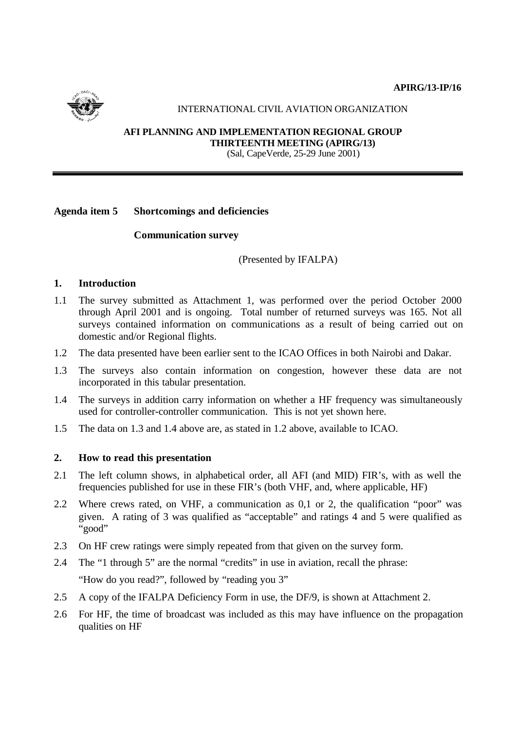

## INTERNATIONAL CIVIL AVIATION ORGANIZATION

**AFI PLANNING AND IMPLEMENTATION REGIONAL GROUP THIRTEENTH MEETING (APIRG/13)** (Sal, CapeVerde, 25-29 June 2001)

## **Agenda item 5 Shortcomings and deficiencies**

## **Communication survey**

(Presented by IFALPA)

## **1. Introduction**

- 1.1 The survey submitted as Attachment 1, was performed over the period October 2000 through April 2001 and is ongoing. Total number of returned surveys was 165. Not all surveys contained information on communications as a result of being carried out on domestic and/or Regional flights.
- 1.2 The data presented have been earlier sent to the ICAO Offices in both Nairobi and Dakar.
- 1.3 The surveys also contain information on congestion, however these data are not incorporated in this tabular presentation.
- 1.4 The surveys in addition carry information on whether a HF frequency was simultaneously used for controller-controller communication. This is not yet shown here.
- 1.5 The data on 1.3 and 1.4 above are, as stated in 1.2 above, available to ICAO.

### **2. How to read this presentation**

- 2.1 The left column shows, in alphabetical order, all AFI (and MID) FIR's, with as well the frequencies published for use in these FIR's (both VHF, and, where applicable, HF)
- 2.2 Where crews rated, on VHF, a communication as 0,1 or 2, the qualification "poor" was given. A rating of 3 was qualified as "acceptable" and ratings 4 and 5 were qualified as "good"
- 2.3 On HF crew ratings were simply repeated from that given on the survey form.
- 2.4 The "1 through 5" are the normal "credits" in use in aviation, recall the phrase: "How do you read?", followed by "reading you 3"
- 2.5 A copy of the IFALPA Deficiency Form in use, the DF/9, is shown at Attachment 2.
- 2.6 For HF, the time of broadcast was included as this may have influence on the propagation qualities on HF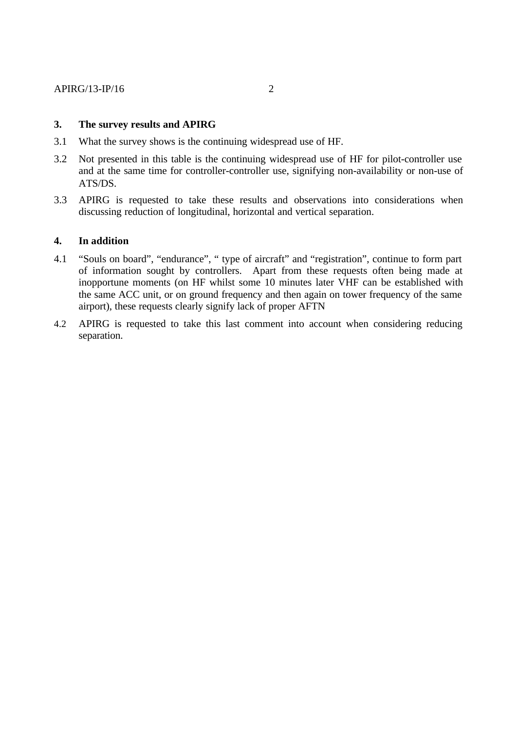## **3. The survey results and APIRG**

- 3.1 What the survey shows is the continuing widespread use of HF.
- 3.2 Not presented in this table is the continuing widespread use of HF for pilot-controller use and at the same time for controller-controller use, signifying non-availability or non-use of ATS/DS.
- 3.3 APIRG is requested to take these results and observations into considerations when discussing reduction of longitudinal, horizontal and vertical separation.

## **4. In addition**

- 4.1 "Souls on board", "endurance", " type of aircraft" and "registration", continue to form part of information sought by controllers. Apart from these requests often being made at inopportune moments (on HF whilst some 10 minutes later VHF can be established with the same ACC unit, or on ground frequency and then again on tower frequency of the same airport), these requests clearly signify lack of proper AFTN
- 4.2 APIRG is requested to take this last comment into account when considering reducing separation.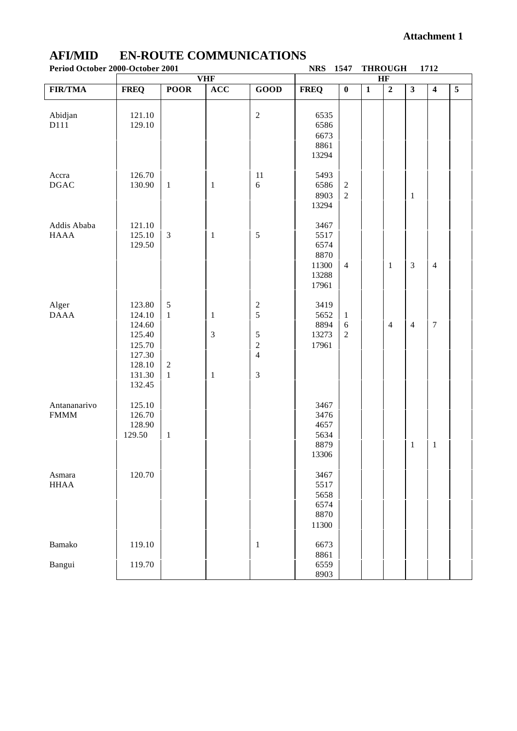| Period October 2000-October 2001 |                  |                |                |                                  | <b>NRS</b>     | 1547                    | <b>THROUGH</b>          |                |                         | 1712                    |                |
|----------------------------------|------------------|----------------|----------------|----------------------------------|----------------|-------------------------|-------------------------|----------------|-------------------------|-------------------------|----------------|
|                                  |                  |                | <b>VHF</b>     |                                  |                |                         | HF                      |                |                         |                         |                |
| <b>FIR/TMA</b>                   | <b>FREQ</b>      | <b>POOR</b>    | ACC            | GOOD                             | <b>FREQ</b>    | $\overline{\mathbf{0}}$ | $\overline{\mathbf{1}}$ | $\overline{2}$ | $\overline{\mathbf{3}}$ | $\overline{\mathbf{4}}$ | $\overline{5}$ |
|                                  |                  |                |                |                                  |                |                         |                         |                |                         |                         |                |
| Abidjan                          | 121.10           |                |                | $\sqrt{2}$                       | 6535           |                         |                         |                |                         |                         |                |
| D111                             | 129.10           |                |                |                                  | 6586           |                         |                         |                |                         |                         |                |
|                                  |                  |                |                |                                  | 6673           |                         |                         |                |                         |                         |                |
|                                  |                  |                |                |                                  | 8861           |                         |                         |                |                         |                         |                |
|                                  |                  |                |                |                                  | 13294          |                         |                         |                |                         |                         |                |
|                                  | 126.70           |                |                |                                  |                |                         |                         |                |                         |                         |                |
| Accra<br><b>DGAC</b>             | 130.90           | $\mathbf{1}$   | $\mathbf{1}$   | 11<br>$\sqrt{6}$                 | 5493<br>6586   | $\sqrt{2}$              |                         |                |                         |                         |                |
|                                  |                  |                |                |                                  | 8903           | $\overline{2}$          |                         |                | $\mathbf{1}$            |                         |                |
|                                  |                  |                |                |                                  | 13294          |                         |                         |                |                         |                         |                |
|                                  |                  |                |                |                                  |                |                         |                         |                |                         |                         |                |
| Addis Ababa                      | 121.10           |                |                |                                  | 3467           |                         |                         |                |                         |                         |                |
| <b>HAAA</b>                      | 125.10           | $\mathfrak{Z}$ | $\mathbf{1}$   | 5                                | 5517           |                         |                         |                |                         |                         |                |
|                                  | 129.50           |                |                |                                  | 6574           |                         |                         |                |                         |                         |                |
|                                  |                  |                |                |                                  | 8870           |                         |                         |                |                         |                         |                |
|                                  |                  |                |                |                                  | 11300<br>13288 | $\overline{4}$          |                         | $\mathbf{1}$   | $\mathfrak{Z}$          | $\overline{4}$          |                |
|                                  |                  |                |                |                                  | 17961          |                         |                         |                |                         |                         |                |
|                                  |                  |                |                |                                  |                |                         |                         |                |                         |                         |                |
| Alger                            | 123.80           | $\mathfrak s$  |                | $\sqrt{2}$                       | 3419           |                         |                         |                |                         |                         |                |
| <b>DAAA</b>                      | 124.10           | $\mathbf{1}$   | $\mathbf{1}$   | 5                                | 5652           | $\mathbf{1}$            |                         |                |                         |                         |                |
|                                  | 124.60           |                |                |                                  | 8894           | 6                       |                         | 4              | $\overline{4}$          | $\sqrt{ }$              |                |
|                                  | 125.40           |                | $\mathfrak{Z}$ | $\mathfrak s$                    | 13273          | $\mathfrak{2}$          |                         |                |                         |                         |                |
|                                  | 125.70<br>127.30 |                |                | $\overline{c}$<br>$\overline{4}$ | 17961          |                         |                         |                |                         |                         |                |
|                                  | 128.10           | $\sqrt{2}$     |                |                                  |                |                         |                         |                |                         |                         |                |
|                                  | 131.30           | $\mathbf{1}$   | $\mathbf{1}$   | $\mathfrak{Z}$                   |                |                         |                         |                |                         |                         |                |
|                                  | 132.45           |                |                |                                  |                |                         |                         |                |                         |                         |                |
|                                  |                  |                |                |                                  |                |                         |                         |                |                         |                         |                |
| Antananarivo                     | 125.10           |                |                |                                  | 3467           |                         |                         |                |                         |                         |                |
| <b>FMMM</b>                      | 126.70           |                |                |                                  | 3476           |                         |                         |                |                         |                         |                |
|                                  | 128.90           |                |                |                                  | 4657           |                         |                         |                |                         |                         |                |
|                                  | 129.50           | $\mathbf{1}$   |                |                                  | 5634<br>8879   |                         |                         |                | $\mathbf{1}$            | $\mathbf{1}$            |                |
|                                  |                  |                |                |                                  | 13306          |                         |                         |                |                         |                         |                |
|                                  |                  |                |                |                                  |                |                         |                         |                |                         |                         |                |
| Asmara                           | 120.70           |                |                |                                  | 3467           |                         |                         |                |                         |                         |                |
| <b>HHAA</b>                      |                  |                |                |                                  | 5517           |                         |                         |                |                         |                         |                |
|                                  |                  |                |                |                                  | 5658           |                         |                         |                |                         |                         |                |
|                                  |                  |                |                |                                  | 6574           |                         |                         |                |                         |                         |                |
|                                  |                  |                |                |                                  | 8870<br>11300  |                         |                         |                |                         |                         |                |
|                                  |                  |                |                |                                  |                |                         |                         |                |                         |                         |                |
| Bamako                           | 119.10           |                |                | $\mathbf{1}$                     | 6673           |                         |                         |                |                         |                         |                |
|                                  |                  |                |                |                                  | 8861           |                         |                         |                |                         |                         |                |
| Bangui                           | 119.70           |                |                |                                  | 6559           |                         |                         |                |                         |                         |                |
|                                  |                  |                |                |                                  | 8903           |                         |                         |                |                         |                         |                |

# **AFI/MID EN-ROUTE COMMUNICATIONS**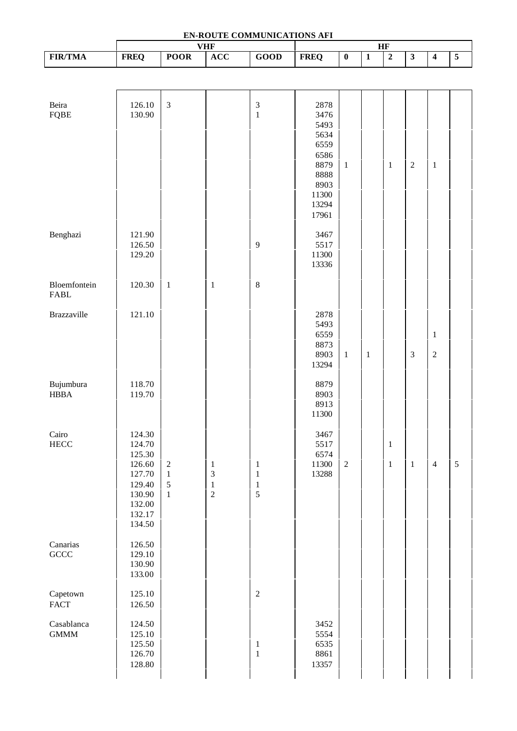| EN-ROUTE COMMUNICATIONS AFI              |                                                                                                  |                                                         |                                                                      |                                              |                                                                                                 |                |                |                                                                    |                         |                            |                |
|------------------------------------------|--------------------------------------------------------------------------------------------------|---------------------------------------------------------|----------------------------------------------------------------------|----------------------------------------------|-------------------------------------------------------------------------------------------------|----------------|----------------|--------------------------------------------------------------------|-------------------------|----------------------------|----------------|
| <b>FIR/TMA</b>                           | <b>FREQ</b>                                                                                      | <b>POOR</b>                                             | <b>VHF</b><br>ACC                                                    | GOOD                                         | <b>FREQ</b>                                                                                     | $\pmb{0}$      | $\overline{1}$ | $\ensuremath{\mathbf{H}}\ensuremath{\mathbf{F}}$<br>$\overline{2}$ | $\overline{\mathbf{3}}$ | $\overline{\mathbf{4}}$    | $\overline{5}$ |
|                                          |                                                                                                  |                                                         |                                                                      |                                              |                                                                                                 |                |                |                                                                    |                         |                            |                |
|                                          |                                                                                                  |                                                         |                                                                      |                                              |                                                                                                 |                |                |                                                                    |                         |                            |                |
| Beira<br><b>FQBE</b>                     | 126.10<br>130.90                                                                                 | $\mathfrak{Z}$                                          |                                                                      | $\ensuremath{\mathfrak{Z}}$<br>$\mathbf{1}$  | 2878<br>3476<br>5493<br>5634<br>6559<br>6586<br>8879<br>8888<br>8903<br>11300<br>13294<br>17961 | $\mathbf{1}$   |                | $\mathbf{1}$                                                       | $\mathbf 2$             | $\,1$                      |                |
| Benghazi                                 | 121.90<br>126.50<br>129.20                                                                       |                                                         |                                                                      | $\overline{9}$                               | 3467<br>5517<br>11300<br>13336                                                                  |                |                |                                                                    |                         |                            |                |
| Bloemfontein<br>FABL                     | 120.30                                                                                           | $\mathbf{1}$                                            | $\,1\,$                                                              | $\,8\,$                                      |                                                                                                 |                |                |                                                                    |                         |                            |                |
| <b>Brazzaville</b>                       | 121.10                                                                                           |                                                         |                                                                      |                                              | 2878<br>5493<br>6559<br>8873<br>8903<br>13294                                                   | $\mathbf{1}$   | $\,1$          |                                                                    | $\mathfrak{Z}$          | $\mathbf{1}$<br>$\sqrt{2}$ |                |
| Bujumbura<br><b>HBBA</b>                 | 118.70<br>119.70                                                                                 |                                                         |                                                                      |                                              | 8879<br>8903<br>8913<br>11300                                                                   |                |                |                                                                    |                         |                            |                |
| Cairo<br>${\rm HECC}$                    | 124.30<br>124.70<br>125.30<br>126.60<br>127.70<br>129.40<br>130.90<br>132.00<br>132.17<br>134.50 | $\sqrt{2}$<br>$\,1\,$<br>$\mathfrak{S}$<br>$\mathbf{1}$ | $\mathbf{1}$<br>$\overline{\mathbf{3}}$<br>$\,1\,$<br>$\overline{c}$ | $\mathbf{1}$<br>$\mathbf{1}$<br>$\,1\,$<br>5 | 3467<br>5517<br>6574<br>11300<br>13288                                                          | $\overline{2}$ |                | $\mathbf{1}$<br>$\mathbf{1}$                                       | $\mathbf{1}$            | $\overline{4}$             | $\overline{5}$ |
| Canarias<br>$\operatorname{GCC}$         | 126.50<br>129.10<br>130.90<br>133.00                                                             |                                                         |                                                                      |                                              |                                                                                                 |                |                |                                                                    |                         |                            |                |
| Capetown<br>$\ensuremath{\mathsf{FACT}}$ | 125.10<br>126.50                                                                                 |                                                         |                                                                      | $\sqrt{2}$                                   |                                                                                                 |                |                |                                                                    |                         |                            |                |
| Casablanca<br><b>GMMM</b>                | 124.50<br>125.10<br>125.50<br>126.70<br>128.80                                                   |                                                         |                                                                      | $\,1\,$<br>$\,1\,$                           | 3452<br>5554<br>6535<br>8861<br>13357                                                           |                |                |                                                                    |                         |                            |                |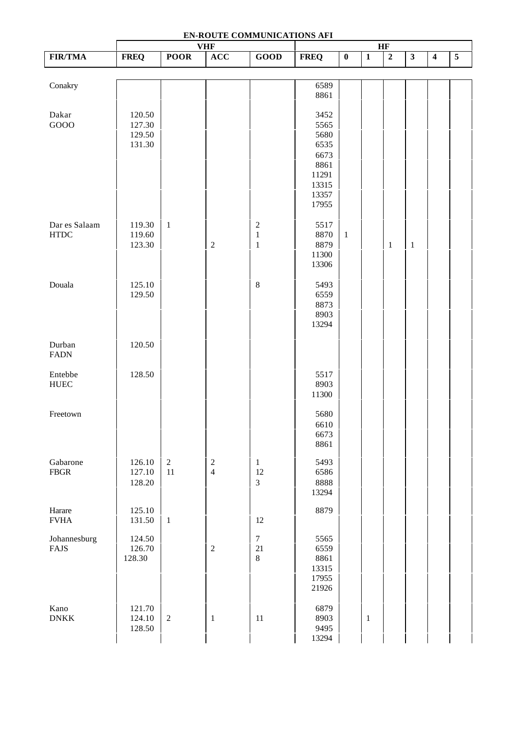| EN-ROUTE COMMUNICATIONS AFI<br><b>VHF</b><br>HF |                                      |                  |                                       |                                             |                                                                                  |              |                         |                |                         |                         |                |
|-------------------------------------------------|--------------------------------------|------------------|---------------------------------------|---------------------------------------------|----------------------------------------------------------------------------------|--------------|-------------------------|----------------|-------------------------|-------------------------|----------------|
| <b>FIR/TMA</b>                                  | <b>FREQ</b>                          | <b>POOR</b>      | ACC                                   | GOOD                                        | <b>FREQ</b>                                                                      | $\pmb{0}$    | $\overline{\mathbf{1}}$ | $\overline{2}$ | $\overline{\mathbf{3}}$ | $\overline{\mathbf{4}}$ | $\overline{5}$ |
|                                                 |                                      |                  |                                       |                                             |                                                                                  |              |                         |                |                         |                         |                |
| Conakry                                         |                                      |                  |                                       |                                             | 6589<br>8861                                                                     |              |                         |                |                         |                         |                |
| Dakar<br>GOOO                                   | 120.50<br>127.30<br>129.50<br>131.30 |                  |                                       |                                             | 3452<br>5565<br>5680<br>6535<br>6673<br>8861<br>11291<br>13315<br>13357<br>17955 |              |                         |                |                         |                         |                |
| Dar es Salaam<br><b>HTDC</b>                    | 119.30<br>119.60<br>123.30           | $\,1\,$          | $\sqrt{2}$                            | $\overline{\mathbf{c}}$<br>$\,1\,$<br>$\,1$ | 5517<br>8870<br>8879<br>11300<br>13306                                           | $\mathbf{1}$ |                         | $\,1$          | $\mathbf{1}$            |                         |                |
| Douala                                          | 125.10<br>129.50                     |                  |                                       | $\,8\,$                                     | 5493<br>6559<br>8873<br>8903<br>13294                                            |              |                         |                |                         |                         |                |
| Durban<br><b>FADN</b>                           | 120.50                               |                  |                                       |                                             |                                                                                  |              |                         |                |                         |                         |                |
| Entebbe<br><b>HUEC</b>                          | 128.50                               |                  |                                       |                                             | 5517<br>8903<br>11300                                                            |              |                         |                |                         |                         |                |
| Freetown                                        |                                      |                  |                                       |                                             | 5680<br>6610<br>6673<br>8861                                                     |              |                         |                |                         |                         |                |
| Gabarone<br>${\rm FBGR}$                        | 126.10<br>127.10<br>128.20           | $\sqrt{2}$<br>11 | $\begin{array}{c} 2 \\ 4 \end{array}$ | $\mathbf{1}$<br>12<br>$\overline{3}$        | 5493<br>6586<br>8888<br>13294                                                    |              |                         |                |                         |                         |                |
| Harare<br>${\rm FVHA}$                          | 125.10<br>131.50                     | $\mathbf{1}$     |                                       | 12                                          | 8879                                                                             |              |                         |                |                         |                         |                |
| Johannesburg<br><b>FAJS</b>                     | 124.50<br>126.70<br>128.30           |                  | $\sqrt{2}$                            | $\overline{7}$<br>21<br>$\,8\,$             | 5565<br>6559<br>8861<br>13315<br>17955<br>21926                                  |              |                         |                |                         |                         |                |
| Kano<br><b>DNKK</b>                             | 121.70<br>124.10<br>128.50           | $\sqrt{2}$       | $\mathbf{1}$                          | 11                                          | 6879<br>8903<br>9495<br>13294                                                    |              | $\mathbf{1}$            |                |                         |                         |                |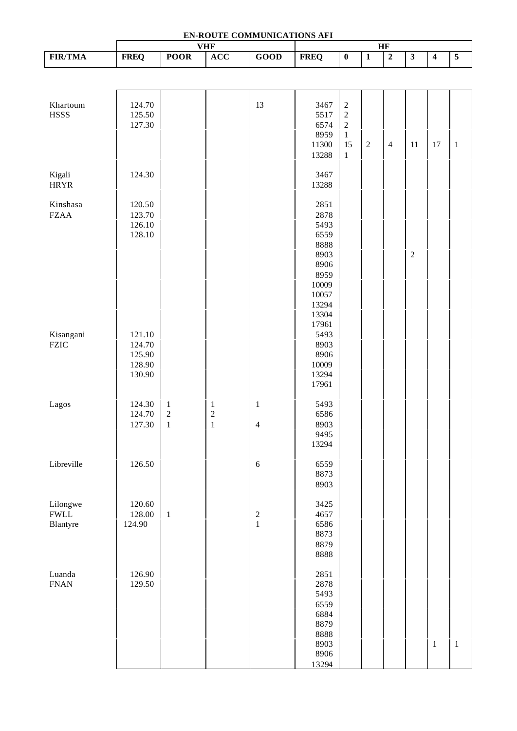| EN-ROUTE COMMUNICATIONS AFI |                  |              |                |                         |                |                         |                |                |                                                 |                         |                |
|-----------------------------|------------------|--------------|----------------|-------------------------|----------------|-------------------------|----------------|----------------|-------------------------------------------------|-------------------------|----------------|
| <b>FIR/TMA</b>              |                  |              | <b>VHF</b>     |                         |                |                         |                | <b>HF</b>      |                                                 |                         |                |
|                             | <b>FREQ</b>      | <b>POOR</b>  | ACC            | GOOD                    | <b>FREQ</b>    | $\overline{\mathbf{0}}$ | $\overline{1}$ | $\overline{2}$ | $\overline{\mathbf{3}}$                         | $\overline{\mathbf{4}}$ | $\overline{5}$ |
|                             |                  |              |                |                         |                |                         |                |                |                                                 |                         |                |
|                             |                  |              |                |                         |                |                         |                |                |                                                 |                         |                |
| Khartoum                    | 124.70           |              |                | 13                      | 3467           | $\sqrt{2}$              |                |                |                                                 |                         |                |
| <b>HSSS</b>                 | 125.50           |              |                |                         | 5517           | $\sqrt{2}$              |                |                |                                                 |                         |                |
|                             | 127.30           |              |                |                         | 6574           | $\overline{c}$          |                |                |                                                 |                         |                |
|                             |                  |              |                |                         | 8959<br>11300  | $\mathbf{1}$<br>15      | $\overline{2}$ | $\overline{4}$ | 11                                              | 17                      | $\mathbf{1}$   |
|                             |                  |              |                |                         | 13288          | $\mathbf{1}$            |                |                |                                                 |                         |                |
|                             |                  |              |                |                         |                |                         |                |                |                                                 |                         |                |
| Kigali                      | 124.30           |              |                |                         | 3467           |                         |                |                |                                                 |                         |                |
| <b>HRYR</b>                 |                  |              |                |                         | 13288          |                         |                |                |                                                 |                         |                |
| Kinshasa                    | 120.50           |              |                |                         | 2851           |                         |                |                |                                                 |                         |                |
| <b>FZAA</b>                 | 123.70           |              |                |                         | 2878           |                         |                |                |                                                 |                         |                |
|                             | 126.10           |              |                |                         | 5493           |                         |                |                |                                                 |                         |                |
|                             | 128.10           |              |                |                         | 6559           |                         |                |                |                                                 |                         |                |
|                             |                  |              |                |                         | 8888           |                         |                |                |                                                 |                         |                |
|                             |                  |              |                |                         | 8903<br>8906   |                         |                |                | $\mathfrak{2}% \left( \mathfrak{2}\right) ^{2}$ |                         |                |
|                             |                  |              |                |                         | 8959           |                         |                |                |                                                 |                         |                |
|                             |                  |              |                |                         | 10009          |                         |                |                |                                                 |                         |                |
|                             |                  |              |                |                         | 10057          |                         |                |                |                                                 |                         |                |
|                             |                  |              |                |                         | 13294          |                         |                |                |                                                 |                         |                |
|                             |                  |              |                |                         | 13304<br>17961 |                         |                |                |                                                 |                         |                |
| Kisangani                   | 121.10           |              |                |                         | 5493           |                         |                |                |                                                 |                         |                |
| <b>FZIC</b>                 | 124.70           |              |                |                         | 8903           |                         |                |                |                                                 |                         |                |
|                             | 125.90           |              |                |                         | 8906           |                         |                |                |                                                 |                         |                |
|                             | 128.90           |              |                |                         | 10009          |                         |                |                |                                                 |                         |                |
|                             | 130.90           |              |                |                         | 13294<br>17961 |                         |                |                |                                                 |                         |                |
|                             |                  |              |                |                         |                |                         |                |                |                                                 |                         |                |
| Lagos                       | 124.30           | $\mathbf{1}$ | $\mathbf{1}$   | $\mathbf{1}$            | 5493           |                         |                |                |                                                 |                         |                |
|                             | 124.70           | $\sqrt{2}$   | $\overline{c}$ |                         | 6586           |                         |                |                |                                                 |                         |                |
|                             | 127.30           | $1\,$        | $\,1$          | $\overline{4}$          | 8903<br>9495   |                         |                |                |                                                 |                         |                |
|                             |                  |              |                |                         | 13294          |                         |                |                |                                                 |                         |                |
|                             |                  |              |                |                         |                |                         |                |                |                                                 |                         |                |
| Libreville                  | 126.50           |              |                | $\sqrt{6}$              | 6559           |                         |                |                |                                                 |                         |                |
|                             |                  |              |                |                         | 8873<br>8903   |                         |                |                |                                                 |                         |                |
|                             |                  |              |                |                         |                |                         |                |                |                                                 |                         |                |
| Lilongwe                    | 120.60           |              |                |                         | 3425           |                         |                |                |                                                 |                         |                |
| <b>FWLL</b>                 | 128.00           | $\mathbf{1}$ |                | $\overline{\mathbf{c}}$ | 4657           |                         |                |                |                                                 |                         |                |
| Blantyre                    | 124.90           |              |                | $\mathbf{1}$            | 6586<br>8873   |                         |                |                |                                                 |                         |                |
|                             |                  |              |                |                         | 8879           |                         |                |                |                                                 |                         |                |
|                             |                  |              |                |                         | 8888           |                         |                |                |                                                 |                         |                |
|                             |                  |              |                |                         |                |                         |                |                |                                                 |                         |                |
| Luanda<br>${\rm FNAN}$      | 126.90<br>129.50 |              |                |                         | 2851<br>2878   |                         |                |                |                                                 |                         |                |
|                             |                  |              |                |                         | 5493           |                         |                |                |                                                 |                         |                |
|                             |                  |              |                |                         | 6559           |                         |                |                |                                                 |                         |                |
|                             |                  |              |                |                         | 6884           |                         |                |                |                                                 |                         |                |
|                             |                  |              |                |                         | 8879           |                         |                |                |                                                 |                         |                |
|                             |                  |              |                |                         | 8888<br>8903   |                         |                |                |                                                 |                         |                |
|                             |                  |              |                |                         | 8906           |                         |                |                |                                                 | $\mathbf{1}$            | $\mathbf{1}$   |
|                             |                  |              |                |                         | 13294          |                         |                |                |                                                 |                         |                |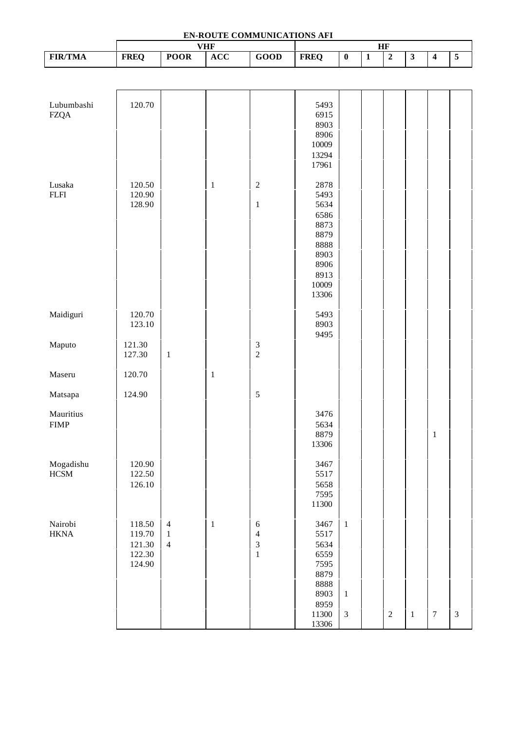| EN-ROUTE COMMUNICATIONS AFI<br><b>VHF</b><br>HF |                                                |                                                  |              |                                                                                |                                                                                                |                                                |                |                |                         |                         |                             |
|-------------------------------------------------|------------------------------------------------|--------------------------------------------------|--------------|--------------------------------------------------------------------------------|------------------------------------------------------------------------------------------------|------------------------------------------------|----------------|----------------|-------------------------|-------------------------|-----------------------------|
| <b>FIR/TMA</b>                                  | <b>FREQ</b>                                    | <b>POOR</b>                                      | <b>ACC</b>   | GOOD                                                                           | <b>FREQ</b>                                                                                    | $\overline{\mathbf{0}}$                        | $\overline{1}$ | $\overline{2}$ | $\overline{\mathbf{3}}$ | $\overline{\mathbf{4}}$ | $\overline{5}$              |
|                                                 |                                                |                                                  |              |                                                                                |                                                                                                |                                                |                |                |                         |                         |                             |
|                                                 |                                                |                                                  |              |                                                                                |                                                                                                |                                                |                |                |                         |                         |                             |
| Lubumbashi<br><b>FZQA</b>                       | 120.70                                         |                                                  |              |                                                                                | 5493<br>6915<br>8903<br>8906<br>10009<br>13294<br>17961                                        |                                                |                |                |                         |                         |                             |
| Lusaka<br>${\rm FLFI}$                          | 120.50<br>120.90<br>128.90                     |                                                  | $\,1\,$      | $\sqrt{2}$<br>$\,1$                                                            | 2878<br>5493<br>5634<br>6586<br>8873<br>8879<br>8888<br>8903<br>8906<br>8913<br>10009<br>13306 |                                                |                |                |                         |                         |                             |
| Maidiguri                                       | 120.70<br>123.10                               |                                                  |              |                                                                                | 5493<br>8903<br>9495                                                                           |                                                |                |                |                         |                         |                             |
| Maputo                                          | 121.30<br>127.30                               | $\mathbf{1}$                                     |              | $\frac{3}{2}$                                                                  |                                                                                                |                                                |                |                |                         |                         |                             |
| Maseru                                          | 120.70                                         |                                                  | $\mathbf{1}$ |                                                                                |                                                                                                |                                                |                |                |                         |                         |                             |
| Matsapa                                         | 124.90                                         |                                                  |              | $\sqrt{5}$                                                                     |                                                                                                |                                                |                |                |                         |                         |                             |
| Mauritius<br><b>FIMP</b>                        |                                                |                                                  |              |                                                                                | 3476<br>5634<br>8879<br>13306                                                                  |                                                |                |                |                         | $\,1\,$                 |                             |
| Mogadishu<br><b>HCSM</b>                        | 120.90<br>122.50<br>126.10                     |                                                  |              |                                                                                | 3467<br>5517<br>5658<br>7595<br>11300                                                          |                                                |                |                |                         |                         |                             |
| Nairobi<br><b>HKNA</b>                          | 118.50<br>119.70<br>121.30<br>122.30<br>124.90 | $\overline{4}$<br>$\mathbf{1}$<br>$\overline{4}$ | $\mathbf{1}$ | $\boldsymbol{6}$<br>$\overline{\mathcal{L}}$<br>$\overline{3}$<br>$\mathbf{1}$ | 3467<br>5517<br>5634<br>6559<br>7595<br>8879<br>8888<br>8903<br>8959<br>11300<br>13306         | $\mathbf{1}$<br>$\mathbf{1}$<br>$\mathfrak{Z}$ |                | $\sqrt{2}$     | $\,1$                   | $\boldsymbol{7}$        | $\ensuremath{\mathfrak{Z}}$ |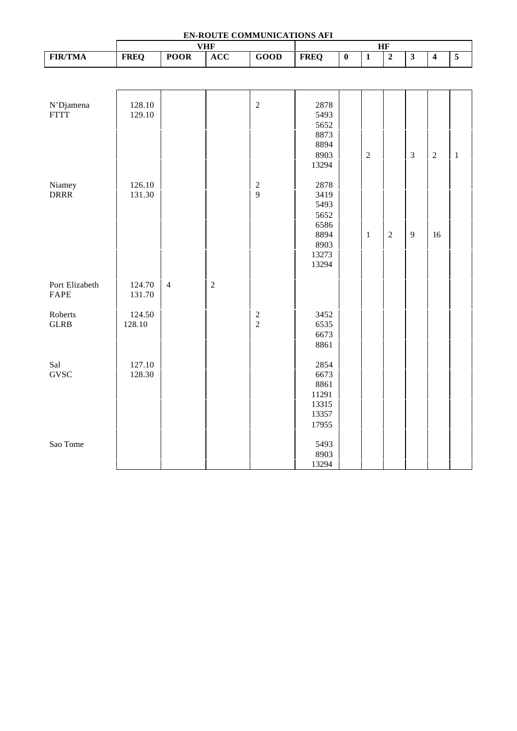| EN-ROUTE COMMUNICATIONS AFI |                  |                |            |                 |                                                               |                         |                |                |                         |                         |                         |
|-----------------------------|------------------|----------------|------------|-----------------|---------------------------------------------------------------|-------------------------|----------------|----------------|-------------------------|-------------------------|-------------------------|
|                             |                  |                | <b>VHF</b> |                 |                                                               |                         |                | HF             |                         |                         |                         |
| <b>FIR/TMA</b>              | <b>FREQ</b>      | <b>POOR</b>    | <b>ACC</b> | <b>GOOD</b>     | <b>FREQ</b>                                                   | $\overline{\mathbf{0}}$ | $\overline{1}$ | $\overline{2}$ | $\overline{\mathbf{3}}$ | $\overline{\mathbf{4}}$ | $\overline{\mathbf{5}}$ |
|                             |                  |                |            |                 |                                                               |                         |                |                |                         |                         |                         |
| N'Djamena<br><b>FTTT</b>    | 128.10<br>129.10 |                |            | $\sqrt{2}$      | 2878<br>5493<br>5652<br>8873                                  |                         |                |                |                         |                         |                         |
|                             |                  |                |            |                 | 8894<br>8903<br>13294                                         |                         | $\overline{2}$ |                | $\overline{3}$          | $\sqrt{2}$              | $\mathbf{1}$            |
| Niamey<br><b>DRRR</b>       | 126.10<br>131.30 |                |            | $\sqrt{2}$<br>9 | 2878<br>3419<br>5493<br>5652<br>6586<br>8894<br>8903<br>13273 |                         | $\mathbf{1}$   | $\overline{c}$ | 9                       | 16                      |                         |
| Port Elizabeth<br>FAPE      | 124.70<br>131.70 | $\overline{4}$ | $\sqrt{2}$ |                 | 13294                                                         |                         |                |                |                         |                         |                         |
| Roberts<br><b>GLRB</b>      | 124.50<br>128.10 |                |            | $\frac{2}{2}$   | 3452<br>6535<br>6673<br>8861                                  |                         |                |                |                         |                         |                         |
| Sal<br><b>GVSC</b>          | 127.10<br>128.30 |                |            |                 | 2854<br>6673<br>8861<br>11291<br>13315<br>13357<br>17955      |                         |                |                |                         |                         |                         |
| Sao Tome                    |                  |                |            |                 | 5493<br>8903<br>13294                                         |                         |                |                |                         |                         |                         |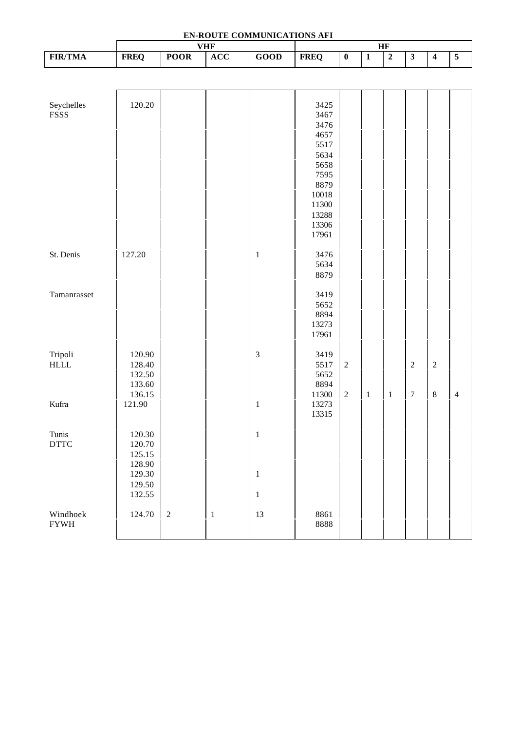| EN-ROUTE COMMUNICATIONS AFI |                  |             |              |                |                |                |                |                |                         |                         |                |
|-----------------------------|------------------|-------------|--------------|----------------|----------------|----------------|----------------|----------------|-------------------------|-------------------------|----------------|
|                             |                  |             | <b>VHF</b>   |                |                |                |                | HF             |                         |                         |                |
| <b>FIR/TMA</b>              | <b>FREQ</b>      | <b>POOR</b> | <b>ACC</b>   | GOOD           | <b>FREQ</b>    | $\pmb{0}$      | $\overline{1}$ | $\overline{2}$ | $\overline{\mathbf{3}}$ | $\overline{\mathbf{4}}$ | $\overline{5}$ |
|                             |                  |             |              |                |                |                |                |                |                         |                         |                |
|                             |                  |             |              |                |                |                |                |                |                         |                         |                |
| Seychelles                  | 120.20           |             |              |                | 3425           |                |                |                |                         |                         |                |
| <b>FSSS</b>                 |                  |             |              |                | 3467           |                |                |                |                         |                         |                |
|                             |                  |             |              |                | 3476           |                |                |                |                         |                         |                |
|                             |                  |             |              |                | 4657<br>5517   |                |                |                |                         |                         |                |
|                             |                  |             |              |                | 5634           |                |                |                |                         |                         |                |
|                             |                  |             |              |                | 5658           |                |                |                |                         |                         |                |
|                             |                  |             |              |                | 7595           |                |                |                |                         |                         |                |
|                             |                  |             |              |                | 8879           |                |                |                |                         |                         |                |
|                             |                  |             |              |                | 10018<br>11300 |                |                |                |                         |                         |                |
|                             |                  |             |              |                | 13288          |                |                |                |                         |                         |                |
|                             |                  |             |              |                | 13306          |                |                |                |                         |                         |                |
|                             |                  |             |              |                | 17961          |                |                |                |                         |                         |                |
| St. Denis                   | 127.20           |             |              | $\mathbf{1}$   | 3476           |                |                |                |                         |                         |                |
|                             |                  |             |              |                | 5634           |                |                |                |                         |                         |                |
|                             |                  |             |              |                | 8879           |                |                |                |                         |                         |                |
|                             |                  |             |              |                |                |                |                |                |                         |                         |                |
| Tamanrasset                 |                  |             |              |                | 3419           |                |                |                |                         |                         |                |
|                             |                  |             |              |                | 5652<br>8894   |                |                |                |                         |                         |                |
|                             |                  |             |              |                | 13273          |                |                |                |                         |                         |                |
|                             |                  |             |              |                | 17961          |                |                |                |                         |                         |                |
| Tripoli                     | 120.90           |             |              | $\mathfrak{Z}$ | 3419           |                |                |                |                         |                         |                |
| <b>HLLL</b>                 | 128.40           |             |              |                | 5517           | $\overline{2}$ |                |                | $\sqrt{2}$              | $\sqrt{2}$              |                |
|                             | 132.50           |             |              |                | 5652           |                |                |                |                         |                         |                |
|                             | 133.60           |             |              |                | 8894           |                |                |                |                         |                         |                |
|                             | 136.15           |             |              |                | 11300          | $\overline{2}$ | $\mathbf{1}$   | $1\,$          | $\boldsymbol{7}$        | $\,8\,$                 | $\overline{4}$ |
| Kufra                       | 121.90           |             |              | $\mathbf{1}$   | 13273<br>13315 |                |                |                |                         |                         |                |
|                             |                  |             |              |                |                |                |                |                |                         |                         |                |
| Tunis                       | 120.30           |             |              | $\mathbf{1}$   |                |                |                |                |                         |                         |                |
| <b>DTTC</b>                 | 120.70           |             |              |                |                |                |                |                |                         |                         |                |
|                             | 125.15<br>128.90 |             |              |                |                |                |                |                |                         |                         |                |
|                             | 129.30           |             |              | $\mathbf{1}$   |                |                |                |                |                         |                         |                |
|                             | 129.50           |             |              |                |                |                |                |                |                         |                         |                |
|                             | 132.55           |             |              | $\mathbf{1}$   |                |                |                |                |                         |                         |                |
| Windhoek                    |                  |             |              |                |                |                |                |                |                         |                         |                |
| <b>FYWH</b>                 | 124.70           | $\sqrt{2}$  | $\mathbf{1}$ | 13             | 8861<br>8888   |                |                |                |                         |                         |                |
|                             |                  |             |              |                |                |                |                |                |                         |                         |                |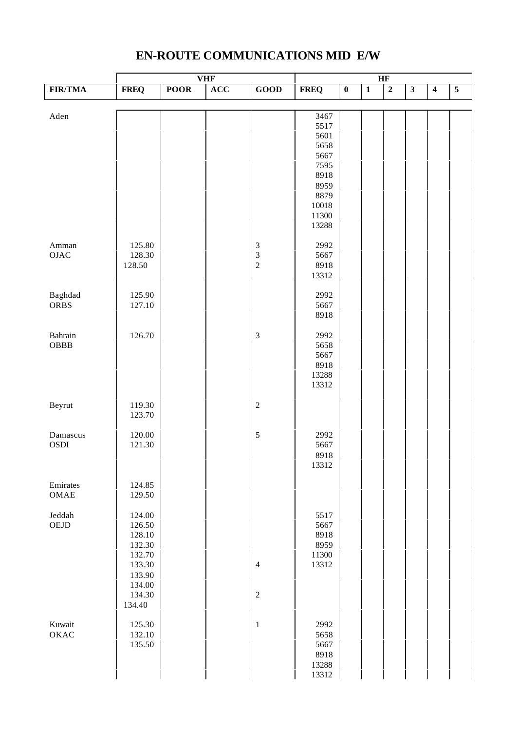# **EN-ROUTE COMMUNICATIONS MID E/W**

|                |             |             | <b>VHF</b> |                             | HF          |           |                |                |                         |                         |                |
|----------------|-------------|-------------|------------|-----------------------------|-------------|-----------|----------------|----------------|-------------------------|-------------------------|----------------|
| <b>FIR/TMA</b> | <b>FREQ</b> | <b>POOR</b> | ACC        | GOOD                        | <b>FREQ</b> | $\pmb{0}$ | $\overline{1}$ | $\overline{2}$ | $\overline{\mathbf{3}}$ | $\overline{\mathbf{4}}$ | $\overline{5}$ |
|                |             |             |            |                             |             |           |                |                |                         |                         |                |
| Aden           |             |             |            |                             | 3467        |           |                |                |                         |                         |                |
|                |             |             |            |                             | 5517        |           |                |                |                         |                         |                |
|                |             |             |            |                             | 5601        |           |                |                |                         |                         |                |
|                |             |             |            |                             | 5658        |           |                |                |                         |                         |                |
|                |             |             |            |                             | 5667        |           |                |                |                         |                         |                |
|                |             |             |            |                             | 7595        |           |                |                |                         |                         |                |
|                |             |             |            |                             | 8918        |           |                |                |                         |                         |                |
|                |             |             |            |                             | 8959        |           |                |                |                         |                         |                |
|                |             |             |            |                             | 8879        |           |                |                |                         |                         |                |
|                |             |             |            |                             | 10018       |           |                |                |                         |                         |                |
|                |             |             |            |                             | 11300       |           |                |                |                         |                         |                |
|                |             |             |            |                             | 13288       |           |                |                |                         |                         |                |
|                |             |             |            |                             |             |           |                |                |                         |                         |                |
| Amman          | 125.80      |             |            | $\ensuremath{\mathfrak{Z}}$ | 2992        |           |                |                |                         |                         |                |
| $\rm OJAC$     | 128.30      |             |            | $\overline{3}$              | 5667        |           |                |                |                         |                         |                |
|                | 128.50      |             |            | $\overline{c}$              | 8918        |           |                |                |                         |                         |                |
|                |             |             |            |                             | 13312       |           |                |                |                         |                         |                |
|                |             |             |            |                             |             |           |                |                |                         |                         |                |
| Baghdad        | 125.90      |             |            |                             | 2992        |           |                |                |                         |                         |                |
| <b>ORBS</b>    | 127.10      |             |            |                             | 5667        |           |                |                |                         |                         |                |
|                |             |             |            |                             | 8918        |           |                |                |                         |                         |                |
| Bahrain        | 126.70      |             |            | $\overline{3}$              | 2992        |           |                |                |                         |                         |                |
| OBBB           |             |             |            |                             | 5658        |           |                |                |                         |                         |                |
|                |             |             |            |                             | 5667        |           |                |                |                         |                         |                |
|                |             |             |            |                             | 8918        |           |                |                |                         |                         |                |
|                |             |             |            |                             | 13288       |           |                |                |                         |                         |                |
|                |             |             |            |                             | 13312       |           |                |                |                         |                         |                |
|                |             |             |            |                             |             |           |                |                |                         |                         |                |
| Beyrut         | 119.30      |             |            | $\sqrt{2}$                  |             |           |                |                |                         |                         |                |
|                | 123.70      |             |            |                             |             |           |                |                |                         |                         |                |
|                |             |             |            |                             |             |           |                |                |                         |                         |                |
| Damascus       | 120.00      |             |            | $\sqrt{5}$                  | 2992        |           |                |                |                         |                         |                |
| OSDI           | 121.30      |             |            |                             | 5667        |           |                |                |                         |                         |                |
|                |             |             |            |                             | 8918        |           |                |                |                         |                         |                |
|                |             |             |            |                             | 13312       |           |                |                |                         |                         |                |
|                |             |             |            |                             |             |           |                |                |                         |                         |                |
| Emirates       | 124.85      |             |            |                             |             |           |                |                |                         |                         |                |
| OMAE           | 129.50      |             |            |                             |             |           |                |                |                         |                         |                |
|                |             |             |            |                             |             |           |                |                |                         |                         |                |
| Jeddah         | 124.00      |             |            |                             | 5517        |           |                |                |                         |                         |                |
| ${\rm OEJD}$   | 126.50      |             |            |                             | 5667        |           |                |                |                         |                         |                |
|                | 128.10      |             |            |                             | 8918        |           |                |                |                         |                         |                |
|                | 132.30      |             |            |                             | 8959        |           |                |                |                         |                         |                |
|                | 132.70      |             |            |                             | 11300       |           |                |                |                         |                         |                |
|                | 133.30      |             |            | $\overline{4}$              | 13312       |           |                |                |                         |                         |                |
|                | 133.90      |             |            |                             |             |           |                |                |                         |                         |                |
|                | 134.00      |             |            |                             |             |           |                |                |                         |                         |                |
|                | 134.30      |             |            | $\sqrt{2}$                  |             |           |                |                |                         |                         |                |
|                | 134.40      |             |            |                             |             |           |                |                |                         |                         |                |
| Kuwait         | 125.30      |             |            | $\,1\,$                     | 2992        |           |                |                |                         |                         |                |
| OKAC           | 132.10      |             |            |                             | 5658        |           |                |                |                         |                         |                |
|                | 135.50      |             |            |                             | 5667        |           |                |                |                         |                         |                |
|                |             |             |            |                             | 8918        |           |                |                |                         |                         |                |
|                |             |             |            |                             | 13288       |           |                |                |                         |                         |                |
|                |             |             |            |                             | 13312       |           |                |                |                         |                         |                |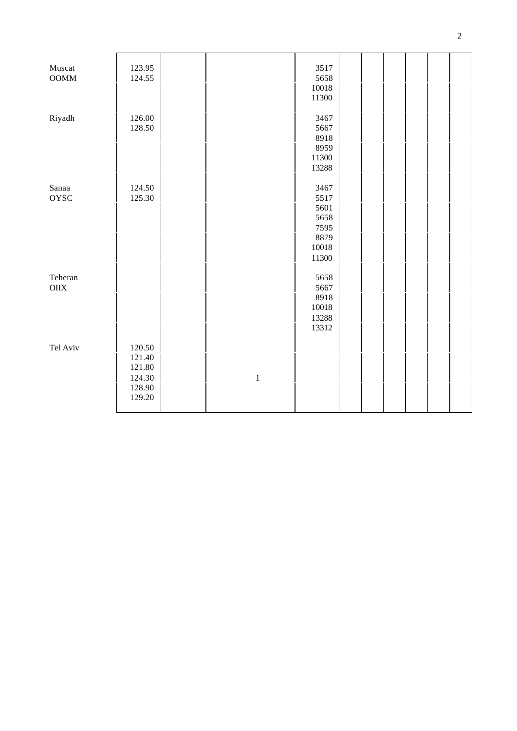| Muscat      | 123.95 |  |       | 3517      |  |  |  |
|-------------|--------|--|-------|-----------|--|--|--|
| $\rm{OOMM}$ | 124.55 |  |       | 5658      |  |  |  |
|             |        |  |       | 10018     |  |  |  |
|             |        |  |       | 11300     |  |  |  |
|             |        |  |       |           |  |  |  |
| Riyadh      | 126.00 |  |       | 3467      |  |  |  |
|             | 128.50 |  |       | 5667      |  |  |  |
|             |        |  |       | 8918      |  |  |  |
|             |        |  |       | 8959      |  |  |  |
|             |        |  |       | 11300     |  |  |  |
|             |        |  |       | 13288     |  |  |  |
|             |        |  |       |           |  |  |  |
| Sanaa       | 124.50 |  |       | 3467      |  |  |  |
|             |        |  |       |           |  |  |  |
| <b>OYSC</b> | 125.30 |  |       | 5517      |  |  |  |
|             |        |  |       | 5601      |  |  |  |
|             |        |  |       | 5658      |  |  |  |
|             |        |  |       | 7595      |  |  |  |
|             |        |  |       | 8879      |  |  |  |
|             |        |  |       | 10018     |  |  |  |
|             |        |  |       | 11300     |  |  |  |
|             |        |  |       |           |  |  |  |
| Teheran     |        |  |       | 5658      |  |  |  |
| $\rm OIIX$  |        |  |       | 5667      |  |  |  |
|             |        |  |       | 8918      |  |  |  |
|             |        |  |       | $10018\,$ |  |  |  |
|             |        |  |       | 13288     |  |  |  |
|             |        |  |       | 13312     |  |  |  |
|             |        |  |       |           |  |  |  |
| Tel Aviv    | 120.50 |  |       |           |  |  |  |
|             | 121.40 |  |       |           |  |  |  |
|             | 121.80 |  |       |           |  |  |  |
|             | 124.30 |  | $\,1$ |           |  |  |  |
|             | 128.90 |  |       |           |  |  |  |
|             | 129.20 |  |       |           |  |  |  |
|             |        |  |       |           |  |  |  |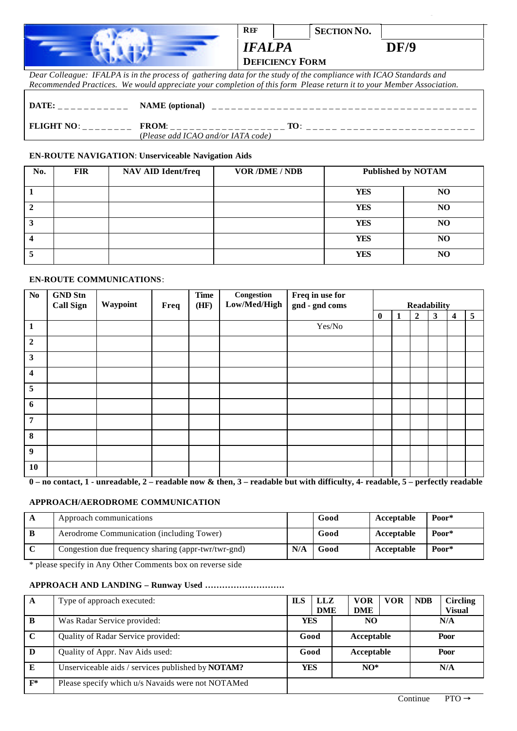| REF                                     | <b>SECTION NO.</b> |             |
|-----------------------------------------|--------------------|-------------|
| <b>IFALPA</b><br><b>DEFICIENCY FORM</b> |                    | <b>DF/9</b> |

|                                                                                                                                                                                                                                                            |                                                    | Dear Colleague: IFALPA is in the process of gathering data for the study of the compliance with ICAO Standards and   |
|------------------------------------------------------------------------------------------------------------------------------------------------------------------------------------------------------------------------------------------------------------|----------------------------------------------------|----------------------------------------------------------------------------------------------------------------------|
|                                                                                                                                                                                                                                                            |                                                    | Recommended Practices. We would appreciate your completion of this form Please return it to your Member Association. |
| DATE:<br>$\mathcal{L} = \mathcal{L} = \mathcal{L} = \mathcal{L} \mathcal{L} = \mathcal{L} \mathcal{L} \mathcal{L} = \mathcal{L} \mathcal{L} \mathcal{L} \mathcal{L} = \mathcal{L} \mathcal{L} \mathcal{L} \mathcal{L} \mathcal{L} \mathcal{L} \mathcal{L}$ | <b>NAME</b> (optional)                             |                                                                                                                      |
| <b>FLIGHT NO:</b>                                                                                                                                                                                                                                          | <b>FROM:</b><br>(Please add ICAO and/or IATA code) | TO:                                                                                                                  |

#### **EN-ROUTE NAVIGATION**: **Unserviceable Navigation Aids**

| No. | <b>FIR</b> | <b>NAV AID Ident/freq</b> | <b>VOR /DME / NDB</b> | <b>Published by NOTAM</b> |    |
|-----|------------|---------------------------|-----------------------|---------------------------|----|
|     |            |                           |                       | <b>YES</b>                | NO |
|     |            |                           |                       | <b>YES</b>                | NO |
|     |            |                           |                       | <b>YES</b>                | NO |
|     |            |                           |                       | <b>YES</b>                | NO |
|     |            |                           |                       | <b>YES</b>                | NO |

### **EN-ROUTE COMMUNICATIONS**:

| $\mathbf{N}\mathbf{o}$  | <b>GND Stn</b><br><b>Call Sign</b> | Waypoint | Freq | <b>Time</b><br>(HF) | Congestion<br>Low/Med/High | Freq in use for<br>gnd - gnd coms | <b>Readability</b> |  |                |              |   |   |
|-------------------------|------------------------------------|----------|------|---------------------|----------------------------|-----------------------------------|--------------------|--|----------------|--------------|---|---|
|                         |                                    |          |      |                     |                            |                                   | $\bf{0}$           |  | $\overline{2}$ | $\mathbf{3}$ | 4 | 5 |
| $\vert$ 1               |                                    |          |      |                     |                            | Yes/No                            |                    |  |                |              |   |   |
| $\overline{2}$          |                                    |          |      |                     |                            |                                   |                    |  |                |              |   |   |
| $\mathbf{3}$            |                                    |          |      |                     |                            |                                   |                    |  |                |              |   |   |
| $\overline{\mathbf{4}}$ |                                    |          |      |                     |                            |                                   |                    |  |                |              |   |   |
| 5                       |                                    |          |      |                     |                            |                                   |                    |  |                |              |   |   |
| 6                       |                                    |          |      |                     |                            |                                   |                    |  |                |              |   |   |
| $\overline{7}$          |                                    |          |      |                     |                            |                                   |                    |  |                |              |   |   |
| 8                       |                                    |          |      |                     |                            |                                   |                    |  |                |              |   |   |
| $\overline{9}$          |                                    |          |      |                     |                            |                                   |                    |  |                |              |   |   |
| 10                      |                                    |          |      |                     |                            |                                   |                    |  |                |              |   |   |

**0 – no contact, 1 - unreadable, 2 – readable now & then, 3 – readable but with difficulty, 4- readable, 5 – perfectly readable**

### **APPROACH/AERODROME COMMUNICATION**

| Good<br>Aerodrome Communication (including Tower)<br>Acceptable                  |       |
|----------------------------------------------------------------------------------|-------|
|                                                                                  | Poor* |
| N/A<br>Congestion due frequency sharing (appr-twr/twr-gnd)<br>Good<br>Acceptable | Poor* |

\* please specify in Any Other Comments box on reverse side

## **APPROACH AND LANDING – Runway Used ……………………….**

| A           | Type of approach executed:                               | <b>ILS</b> | LLZ                  | <b>VOR</b> | <b>VOR</b> | <b>NDB</b> | <b>Circling</b> |
|-------------|----------------------------------------------------------|------------|----------------------|------------|------------|------------|-----------------|
|             |                                                          |            | <b>DME</b>           | <b>DME</b> |            |            | <b>Visual</b>   |
| B           | Was Radar Service provided:                              |            | <b>YES</b>           | NO         |            | N/A        |                 |
| $\mathbf C$ | Quality of Radar Service provided:                       |            | Good                 | Acceptable |            | Poor       |                 |
| D           | Quality of Appr. Nav Aids used:                          |            | Good                 | Acceptable |            | Poor       |                 |
| E           | Unserviceable aids / services published by <b>NOTAM?</b> |            | <b>YES</b><br>$NO^*$ |            |            | N/A        |                 |
| $F^*$       | Please specify which u/s Navaids were not NOTAMed        |            |                      |            |            |            |                 |